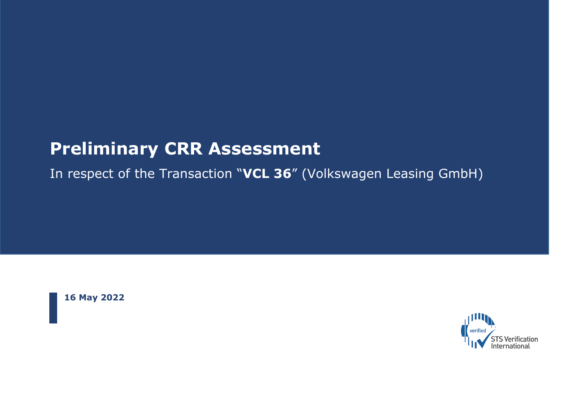## **Preliminary CRR Assessment**

In respect of the Transaction "**VCL 36**" (Volkswagen Leasing GmbH)

**16 May 2022**

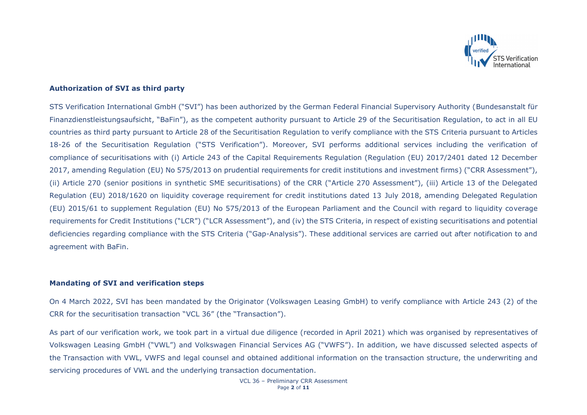

#### **Authorization of SVI as third party**

STS Verification International GmbH ("SVI") has been authorized by the German Federal Financial Supervisory Authority (Bundesanstalt für Finanzdienstleistungsaufsicht, "BaFin"), as the competent authority pursuant to Article 29 of the Securitisation Regulation, to act in all EU countries as third party pursuant to Article 28 of the Securitisation Regulation to verify compliance with the STS Criteria pursuant to Articles 18-26 of the Securitisation Regulation ("STS Verification"). Moreover, SVI performs additional services including the verification of compliance of securitisations with (i) Article 243 of the Capital Requirements Regulation (Regulation (EU) 2017/2401 dated 12 December 2017, amending Regulation (EU) No 575/2013 on prudential requirements for credit institutions and investment firms) ("CRR Assessment"), (ii) Article 270 (senior positions in synthetic SME securitisations) of the CRR ("Article 270 Assessment"), (iii) Article 13 of the Delegated Regulation (EU) 2018/1620 on liquidity coverage requirement for credit institutions dated 13 July 2018, amending Delegated Regulation (EU) 2015/61 to supplement Regulation (EU) No 575/2013 of the European Parliament and the Council with regard to liquidity coverage requirements for Credit Institutions ("LCR") ("LCR Assessment"), and (iv) the STS Criteria, in respect of existing securitisations and potential deficiencies regarding compliance with the STS Criteria ("Gap-Analysis"). These additional services are carried out after notification to and agreement with BaFin.

#### **Mandating of SVI and verification steps**

On 4 March 2022, SVI has been mandated by the Originator (Volkswagen Leasing GmbH) to verify compliance with Article 243 (2) of the CRR for the securitisation transaction "VCL 36" (the "Transaction").

As part of our verification work, we took part in a virtual due diligence (recorded in April 2021) which was organised by representatives of Volkswagen Leasing GmbH ("VWL") and Volkswagen Financial Services AG ("VWFS"). In addition, we have discussed selected aspects of the Transaction with VWL, VWFS and legal counsel and obtained additional information on the transaction structure, the underwriting and servicing procedures of VWL and the underlying transaction documentation.

> VCL 36 – Preliminary CRR Assessment Page **2** of **11**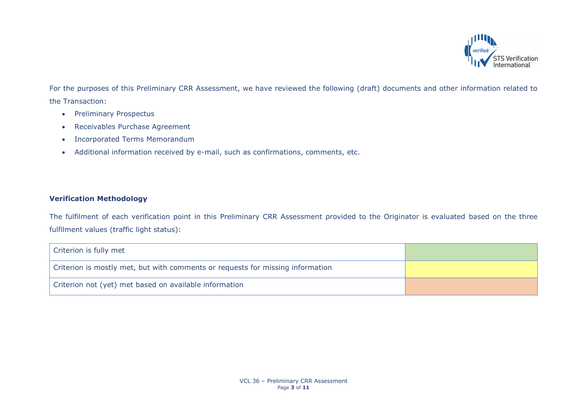

For the purposes of this Preliminary CRR Assessment, we have reviewed the following (draft) documents and other information related to the Transaction:

- Preliminary Prospectus
- Receivables Purchase Agreement
- Incorporated Terms Memorandum
- Additional information received by e-mail, such as confirmations, comments, etc.

## **Verification Methodology**

The fulfilment of each verification point in this Preliminary CRR Assessment provided to the Originator is evaluated based on the three fulfilment values (traffic light status):

| Criterion is fully met                                                         |  |
|--------------------------------------------------------------------------------|--|
| Criterion is mostly met, but with comments or requests for missing information |  |
| Criterion not (yet) met based on available information                         |  |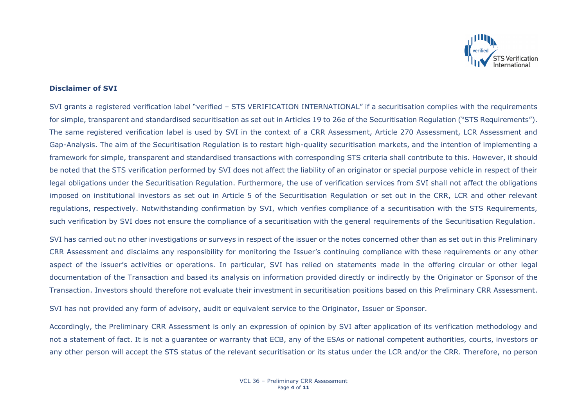

#### **Disclaimer of SVI**

SVI grants a registered verification label "verified – STS VERIFICATION INTERNATIONAL" if a securitisation complies with the requirements for simple, transparent and standardised securitisation as set out in Articles 19 to 26e of the Securitisation Regulation ("STS Requirements"). The same registered verification label is used by SVI in the context of a CRR Assessment, Article 270 Assessment, LCR Assessment and Gap-Analysis. The aim of the Securitisation Regulation is to restart high-quality securitisation markets, and the intention of implementing a framework for simple, transparent and standardised transactions with corresponding STS criteria shall contribute to this. However, it should be noted that the STS verification performed by SVI does not affect the liability of an originator or special purpose vehicle in respect of their legal obligations under the Securitisation Regulation. Furthermore, the use of verification services from SVI shall not affect the obligations imposed on institutional investors as set out in Article 5 of the Securitisation Regulation or set out in the CRR, LCR and other relevant regulations, respectively. Notwithstanding confirmation by SVI, which verifies compliance of a securitisation with the STS Requirements, such verification by SVI does not ensure the compliance of a securitisation with the general requirements of the Securitisation Regulation.

SVI has carried out no other investigations or surveys in respect of the issuer or the notes concerned other than as set out in this Preliminary CRR Assessment and disclaims any responsibility for monitoring the Issuer's continuing compliance with these requirements or any other aspect of the issuer's activities or operations. In particular, SVI has relied on statements made in the offering circular or other legal documentation of the Transaction and based its analysis on information provided directly or indirectly by the Originator or Sponsor of the Transaction. Investors should therefore not evaluate their investment in securitisation positions based on this Preliminary CRR Assessment.

SVI has not provided any form of advisory, audit or equivalent service to the Originator, Issuer or Sponsor.

Accordingly, the Preliminary CRR Assessment is only an expression of opinion by SVI after application of its verification methodology and not a statement of fact. It is not a guarantee or warranty that ECB, any of the ESAs or national competent authorities, courts, investors or any other person will accept the STS status of the relevant securitisation or its status under the LCR and/or the CRR. Therefore, no person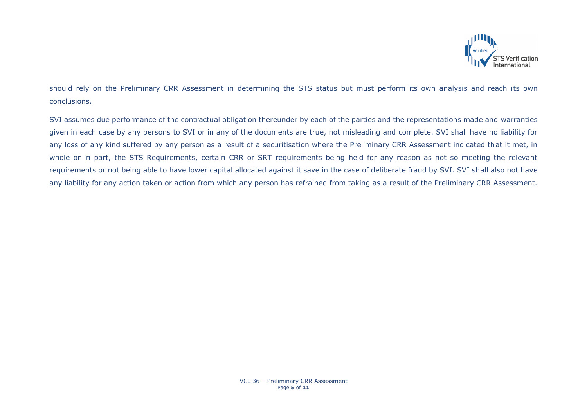

should rely on the Preliminary CRR Assessment in determining the STS status but must perform its own analysis and reach its own conclusions.

SVI assumes due performance of the contractual obligation thereunder by each of the parties and the representations made and warranties given in each case by any persons to SVI or in any of the documents are true, not misleading and complete. SVI shall have no liability for any loss of any kind suffered by any person as a result of a securitisation where the Preliminary CRR Assessment indicated that it met, in whole or in part, the STS Requirements, certain CRR or SRT requirements being held for any reason as not so meeting the relevant requirements or not being able to have lower capital allocated against it save in the case of deliberate fraud by SVI. SVI shall also not have any liability for any action taken or action from which any person has refrained from taking as a result of the Preliminary CRR Assessment.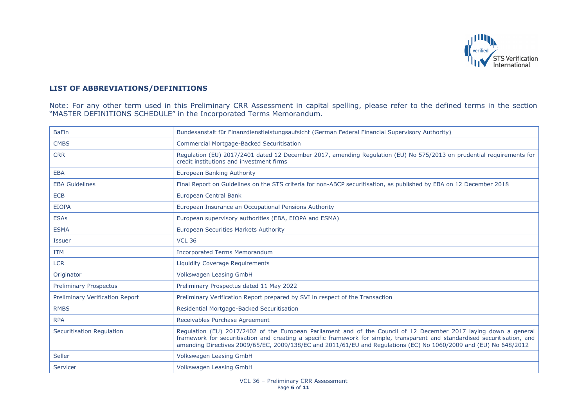

### **LIST OF ABBREVIATIONS/DEFINITIONS**

Note: For any other term used in this Preliminary CRR Assessment in capital spelling, please refer to the defined terms in the section "MASTER DEFINITIONS SCHEDULE" in the Incorporated Terms Memorandum.

| <b>BaFin</b>                           | Bundesanstalt für Finanzdienstleistungsaufsicht (German Federal Financial Supervisory Authority)                                                                                                                                                                                                                                                                      |
|----------------------------------------|-----------------------------------------------------------------------------------------------------------------------------------------------------------------------------------------------------------------------------------------------------------------------------------------------------------------------------------------------------------------------|
| <b>CMBS</b>                            | Commercial Mortgage-Backed Securitisation                                                                                                                                                                                                                                                                                                                             |
| <b>CRR</b>                             | Regulation (EU) 2017/2401 dated 12 December 2017, amending Regulation (EU) No 575/2013 on prudential requirements for<br>credit institutions and investment firms                                                                                                                                                                                                     |
| <b>EBA</b>                             | European Banking Authority                                                                                                                                                                                                                                                                                                                                            |
| <b>EBA Guidelines</b>                  | Final Report on Guidelines on the STS criteria for non-ABCP securitisation, as published by EBA on 12 December 2018                                                                                                                                                                                                                                                   |
| <b>ECB</b>                             | <b>European Central Bank</b>                                                                                                                                                                                                                                                                                                                                          |
| <b>EIOPA</b>                           | European Insurance an Occupational Pensions Authority                                                                                                                                                                                                                                                                                                                 |
| <b>ESAs</b>                            | European supervisory authorities (EBA, EIOPA and ESMA)                                                                                                                                                                                                                                                                                                                |
| <b>ESMA</b>                            | <b>European Securities Markets Authority</b>                                                                                                                                                                                                                                                                                                                          |
| <b>Issuer</b>                          | <b>VCL 36</b>                                                                                                                                                                                                                                                                                                                                                         |
| <b>ITM</b>                             | <b>Incorporated Terms Memorandum</b>                                                                                                                                                                                                                                                                                                                                  |
| <b>LCR</b>                             | Liquidity Coverage Requirements                                                                                                                                                                                                                                                                                                                                       |
| Originator                             | Volkswagen Leasing GmbH                                                                                                                                                                                                                                                                                                                                               |
| <b>Preliminary Prospectus</b>          | Preliminary Prospectus dated 11 May 2022                                                                                                                                                                                                                                                                                                                              |
| <b>Preliminary Verification Report</b> | Preliminary Verification Report prepared by SVI in respect of the Transaction                                                                                                                                                                                                                                                                                         |
| <b>RMBS</b>                            | Residential Mortgage-Backed Securitisation                                                                                                                                                                                                                                                                                                                            |
| <b>RPA</b>                             | Receivables Purchase Agreement                                                                                                                                                                                                                                                                                                                                        |
| <b>Securitisation Regulation</b>       | Regulation (EU) 2017/2402 of the European Parliament and of the Council of 12 December 2017 laying down a general<br>framework for securitisation and creating a specific framework for simple, transparent and standardised securitisation, and<br>amending Directives 2009/65/EC, 2009/138/EC and 2011/61/EU and Regulations (EC) No 1060/2009 and (EU) No 648/2012 |
| Seller                                 | Volkswagen Leasing GmbH                                                                                                                                                                                                                                                                                                                                               |
| Servicer                               | Volkswagen Leasing GmbH                                                                                                                                                                                                                                                                                                                                               |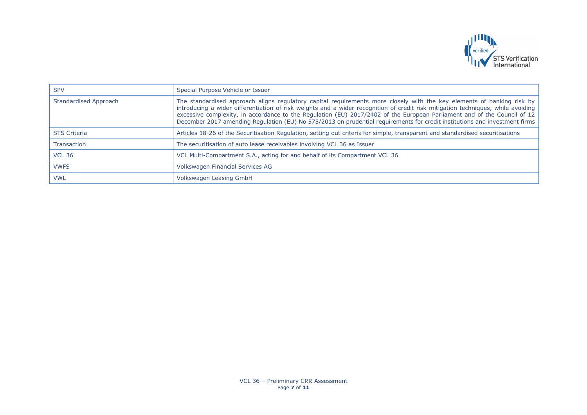

| <b>SPV</b>            | Special Purpose Vehicle or Issuer                                                                                                                                                                                                                                                                                                                                                                                                                                                                                    |
|-----------------------|----------------------------------------------------------------------------------------------------------------------------------------------------------------------------------------------------------------------------------------------------------------------------------------------------------------------------------------------------------------------------------------------------------------------------------------------------------------------------------------------------------------------|
| Standardised Approach | The standardised approach aligns regulatory capital requirements more closely with the key elements of banking risk by<br>introducing a wider differentiation of risk weights and a wider recognition of credit risk mitigation techniques, while avoiding<br>excessive complexity, in accordance to the Regulation (EU) 2017/2402 of the European Parliament and of the Council of 12<br>December 2017 amending Regulation (EU) No 575/2013 on prudential requirements for credit institutions and investment firms |
| <b>STS Criteria</b>   | Articles 18-26 of the Securitisation Regulation, setting out criteria for simple, transparent and standardised securitisations                                                                                                                                                                                                                                                                                                                                                                                       |
| <b>Transaction</b>    | The securitisation of auto lease receivables involving VCL 36 as Issuer                                                                                                                                                                                                                                                                                                                                                                                                                                              |
| <b>VCL 36</b>         | VCL Multi-Compartment S.A., acting for and behalf of its Compartment VCL 36                                                                                                                                                                                                                                                                                                                                                                                                                                          |
| <b>VWFS</b>           | Volkswagen Financial Services AG                                                                                                                                                                                                                                                                                                                                                                                                                                                                                     |
| <b>VWL</b>            | Volkswagen Leasing GmbH                                                                                                                                                                                                                                                                                                                                                                                                                                                                                              |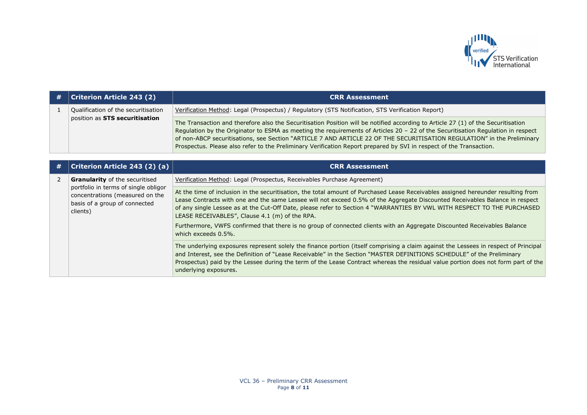

| $\#$   Criterion Article 243 (2)    | <b>CRR Assessment</b>                                                                                                                                                                                                                                                                                                                                                                                                                                                                                                   |
|-------------------------------------|-------------------------------------------------------------------------------------------------------------------------------------------------------------------------------------------------------------------------------------------------------------------------------------------------------------------------------------------------------------------------------------------------------------------------------------------------------------------------------------------------------------------------|
| Qualification of the securitisation | Verification Method: Legal (Prospectus) / Regulatory (STS Notification, STS Verification Report)                                                                                                                                                                                                                                                                                                                                                                                                                        |
| position as STS securitisation      | The Transaction and therefore also the Securitisation Position will be notified according to Article 27 (1) of the Securitisation<br>Regulation by the Originator to ESMA as meeting the requirements of Articles 20 - 22 of the Securitisation Regulation in respect<br>of non-ABCP securitisations, see Section "ARTICLE 7 AND ARTICLE 22 OF THE SECURITISATION REGULATION" in the Preliminary<br>Prospectus. Please also refer to the Preliminary Verification Report prepared by SVI in respect of the Transaction. |

| # | Criterion Article 243 (2) (a)                                                                                        | <b>CRR Assessment</b>                                                                                                                                                                                                                                                                                                                                                                                                                          |
|---|----------------------------------------------------------------------------------------------------------------------|------------------------------------------------------------------------------------------------------------------------------------------------------------------------------------------------------------------------------------------------------------------------------------------------------------------------------------------------------------------------------------------------------------------------------------------------|
|   | <b>Granularity</b> of the securitised                                                                                | Verification Method: Legal (Prospectus, Receivables Purchase Agreement)                                                                                                                                                                                                                                                                                                                                                                        |
|   | portfolio in terms of single obligor<br>concentrations (measured on the<br>basis of a group of connected<br>clients) | At the time of inclusion in the securitisation, the total amount of Purchased Lease Receivables assigned hereunder resulting from<br>Lease Contracts with one and the same Lessee will not exceed 0.5% of the Aggregate Discounted Receivables Balance in respect<br>of any single Lessee as at the Cut-Off Date, please refer to Section 4 "WARRANTIES BY VWL WITH RESPECT TO THE PURCHASED<br>LEASE RECEIVABLES", Clause 4.1 (m) of the RPA. |
|   |                                                                                                                      | Furthermore, VWFS confirmed that there is no group of connected clients with an Aggregate Discounted Receivables Balance<br>which exceeds 0.5%.                                                                                                                                                                                                                                                                                                |
|   |                                                                                                                      | The underlying exposures represent solely the finance portion (itself comprising a claim against the Lessees in respect of Principal<br>and Interest, see the Definition of "Lease Receivable" in the Section "MASTER DEFINITIONS SCHEDULE" of the Preliminary<br>Prospectus) paid by the Lessee during the term of the Lease Contract whereas the residual value portion does not form part of the<br>underlying exposures.                   |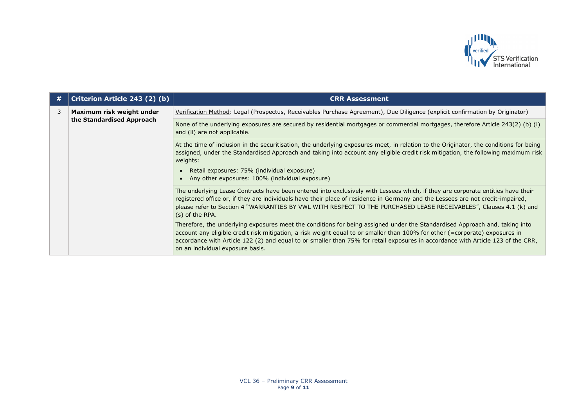

| # | Criterion Article 243 (2) (b)                          | <b>CRR Assessment</b>                                                                                                                                                                                                                                                                                                                                                                                                               |
|---|--------------------------------------------------------|-------------------------------------------------------------------------------------------------------------------------------------------------------------------------------------------------------------------------------------------------------------------------------------------------------------------------------------------------------------------------------------------------------------------------------------|
| 3 | Maximum risk weight under<br>the Standardised Approach | Verification Method: Legal (Prospectus, Receivables Purchase Agreement), Due Diligence (explicit confirmation by Originator)                                                                                                                                                                                                                                                                                                        |
|   |                                                        | None of the underlying exposures are secured by residential mortgages or commercial mortgages, therefore Article 243(2) (b) (i)<br>and (ii) are not applicable.                                                                                                                                                                                                                                                                     |
|   |                                                        | At the time of inclusion in the securitisation, the underlying exposures meet, in relation to the Originator, the conditions for being<br>assigned, under the Standardised Approach and taking into account any eligible credit risk mitigation, the following maximum risk<br>weights:                                                                                                                                             |
|   |                                                        | Retail exposures: 75% (individual exposure)<br>Any other exposures: 100% (individual exposure)                                                                                                                                                                                                                                                                                                                                      |
|   |                                                        | The underlying Lease Contracts have been entered into exclusively with Lessees which, if they are corporate entities have their<br>registered office or, if they are individuals have their place of residence in Germany and the Lessees are not credit-impaired,<br>please refer to Section 4 "WARRANTIES BY VWL WITH RESPECT TO THE PURCHASED LEASE RECEIVABLES", Clauses 4.1 (k) and<br>(s) of the RPA.                         |
|   |                                                        | Therefore, the underlying exposures meet the conditions for being assigned under the Standardised Approach and, taking into<br>account any eligible credit risk mitigation, a risk weight equal to or smaller than 100% for other (=corporate) exposures in<br>accordance with Article 122 (2) and equal to or smaller than 75% for retail exposures in accordance with Article 123 of the CRR,<br>on an individual exposure basis. |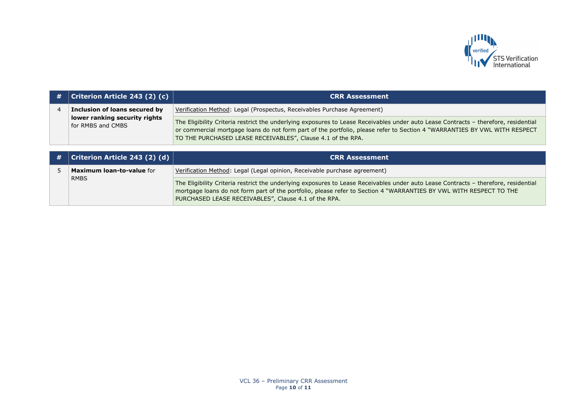

| # | <b>Criterion Article 243 (2) (c)</b>               | <b>CRR Assessment</b>                                                                                                                                                                                                                                                                                                           |
|---|----------------------------------------------------|---------------------------------------------------------------------------------------------------------------------------------------------------------------------------------------------------------------------------------------------------------------------------------------------------------------------------------|
|   | Inclusion of loans secured by                      | Verification Method: Legal (Prospectus, Receivables Purchase Agreement)                                                                                                                                                                                                                                                         |
|   | lower ranking security rights<br>for RMBS and CMBS | The Eligibility Criteria restrict the underlying exposures to Lease Receivables under auto Lease Contracts - therefore, residential<br>or commercial mortgage loans do not form part of the portfolio, please refer to Section 4 "WARRANTIES BY VWL WITH RESPECT<br>TO THE PURCHASED LEASE RECEIVABLES", Clause 4.1 of the RPA. |

| $\#$   Criterion Article 243 (2) (d) | <b>CRR Assessment</b>                                                                                                                                                                                                                                                                                             |
|--------------------------------------|-------------------------------------------------------------------------------------------------------------------------------------------------------------------------------------------------------------------------------------------------------------------------------------------------------------------|
| <b>Maximum loan-to-value for</b>     | Verification Method: Legal (Legal opinion, Receivable purchase agreement)                                                                                                                                                                                                                                         |
| <b>RMBS</b>                          | The Eligibility Criteria restrict the underlying exposures to Lease Receivables under auto Lease Contracts - therefore, residential<br>mortgage loans do not form part of the portfolio, please refer to Section 4 "WARRANTIES BY VWL WITH RESPECT TO THE<br>PURCHASED LEASE RECEIVABLES", Clause 4.1 of the RPA. |